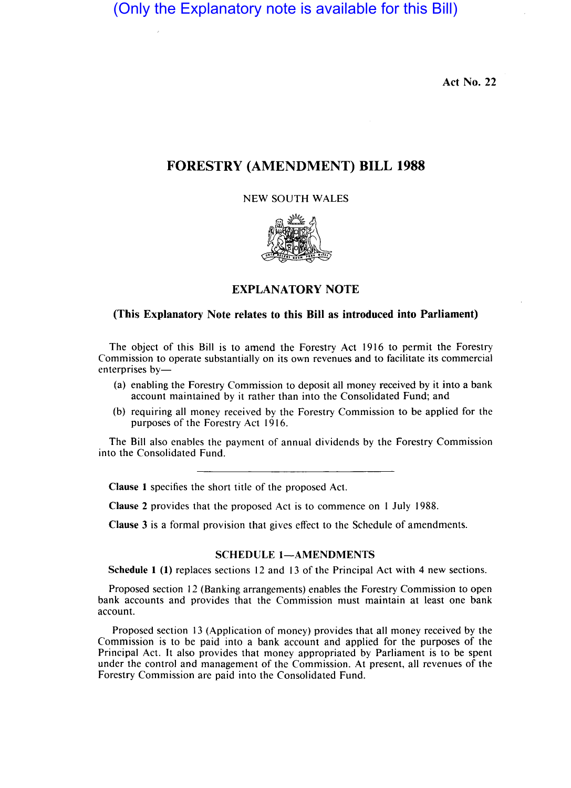(Only the Explanatory note is available for this Bill)

Act No. 22

# FORESTRY (AMENDMENT) **BILL 1988**

#### NEW SOUTH WALES



### EXPLANATORY NOTE

## (This Explanatory Note relates to this Bill as introduced into Parliament)

The object of this Bill is to amend the Forestry Act 1916 to permit the Forestry Commission to operate substantially on its own revenues and to facilitate its commercial enterprises by-

- (a) enabling the Forestry Commission to deposit all money received by it into a bank account maintained by it rather than into the Consolidated Fund; and
- (b) requiring all money received by the Forestry Commission to be applied for the purposes of the Forestry Act 1916.

The Bill also enables the payment of annual dividends by the Forestry Commission into the Consolidated Fund.

Clause I specifies the short title of the proposed Act.

Clause 2 provides that the proposed Act is to commence on I July 1988.

Clause 3 is a formal provision that gives effect to the Schedule of amendments.

#### SCHEDULE 1-AMENDMENTS

Schedule I (1) replaces sections 12 and 13 of the Principal Act with 4 new sections.

Proposed section 12 (Banking arrangements) enables the Forestry Commission to open bank accounts and provides that the Commission must maintain at least one bank account.

Proposed section 13 (Application of money) provides that all money received by the Commission is to be paid into a bank account and applied for the purposes of the Principal Act. It also provides that money appropriated by Parliament is to be spent under the control and management of the Commission. At present, all revenues of the Forestry Commission are paid into the Consolidated Fund.